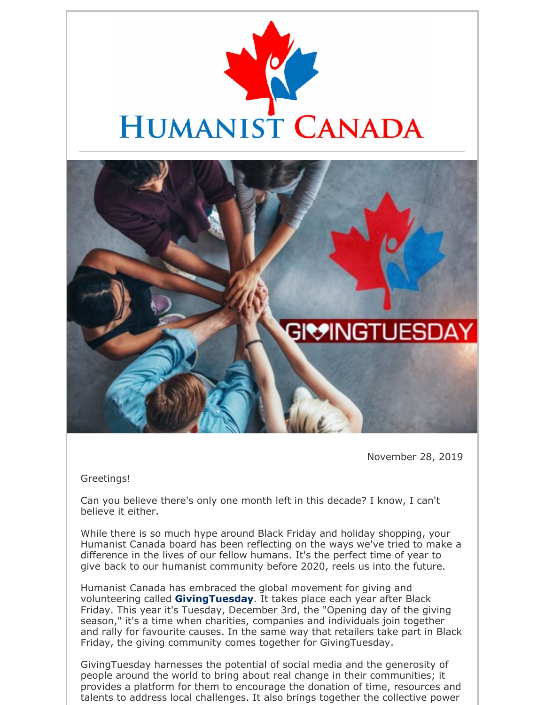



November 28, 2019

Greetings!

Can you believe there's only one month left in this decade? I know, I can't believe it either.

While there is so much hype around Black Friday and holiday shopping, your Humanist Canada board has been reflecting on the ways we've tried to make a difference in the lives of our fellow humans. It's the perfect time of year to give back to our humanist community before 2020, reels us into the future.

Humanist Canada has embraced the global movement for giving and volunteering called **GivingTuesday**. It takes place each year after Black Friday. This year it's Tuesday, December 3rd, the "Opening day of the giving season," it's a time when charities, companies and individuals join together and rally for favourite causes. In the same way that retailers take part in Black Friday, the giving community comes together for GivingTuesday.

GivingTuesday harnesses the potential of social media and the generosity of people around the world to bring about real change in their communities; it provides a platform for them to encourage the donation of time, resources and talents to address local challenges. It also brings together the collective power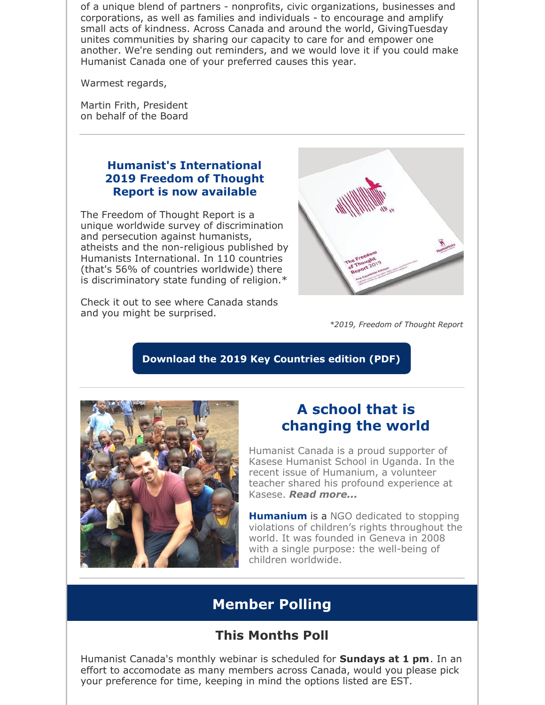of a unique blend of partners - nonprofits, civic organizations, businesses and corporations, as well as families and individuals - to encourage and amplify small acts of kindness. Across Canada and around the world, GivingTuesday unites communities by sharing our capacity to care for and empower one another. We're sending out reminders, and we would love it if you could make Humanist Canada one of your preferred causes this year.

Warmest regards,

Martin Frith, President on behalf of the Board

## **Humanist's International 2019 Freedom of Thought Report is now available**

The Freedom of Thought Report is a unique worldwide survey of discrimination and persecution against humanists, atheists and the non-religious published by Humanists International. In 110 countries (that's 56% of countries worldwide) there is discriminatory state funding of religion.\*

Check it out to see where Canada stands and you might be surprised.



*\*2019, Freedom of Thought Report*

## **Download the 2019 Key Countries edition (PDF)**



## **A school that is changing the world**

Humanist Canada is a proud supporter of Kasese Humanist School in Uganda. In the recent issue of Humanium, a volunteer teacher shared his profound experience at Kasese. *Read more...*

**Humanium** is a NGO dedicated to stopping violations of children's rights throughout the world. It was founded in Geneva in 2008 with a single purpose: the well-being of children worldwide.

# **Member Polling**

# **This Months Poll**

Humanist Canada's monthly webinar is scheduled for **Sundays at 1 pm**. In an effort to accomodate as many members across Canada, would you please pick your preference for time, keeping in mind the options listed are EST.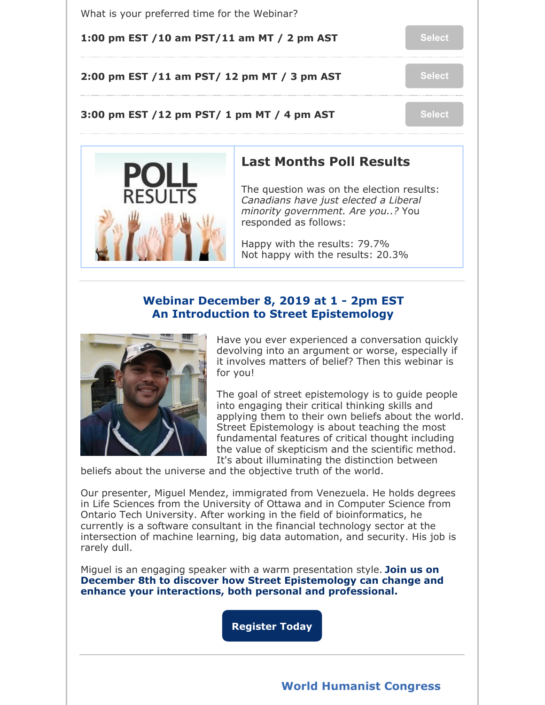

## **Webinar December 8, 2019 at 1 - 2pm EST An Introduction to Street Epistemology**



Have you ever experienced a conversation quickly devolving into an argument or worse, especially if it involves matters of belief? Then this webinar is for you!

The goal of street epistemology is to guide people into engaging their critical thinking skills and applying them to their own beliefs about the world. Street Epistemology is about teaching the most fundamental features of critical thought including the value of skepticism and the scientific method. It's about illuminating the distinction between

beliefs about the universe and the objective truth of the world.

Our presenter, Miguel Mendez, immigrated from Venezuela. He holds degrees in Life Sciences from the University of Ottawa and in Computer Science from Ontario Tech University. After working in the field of bioinformatics, he currently is a software consultant in the financial technology sector at the intersection of machine learning, big data automation, and security. His job is rarely dull.

Miguel is an engaging speaker with a warm presentation style. **Join us on December 8th to discover how Street Epistemology can change and enhance your interactions, both personal and professional.**

**Register Today**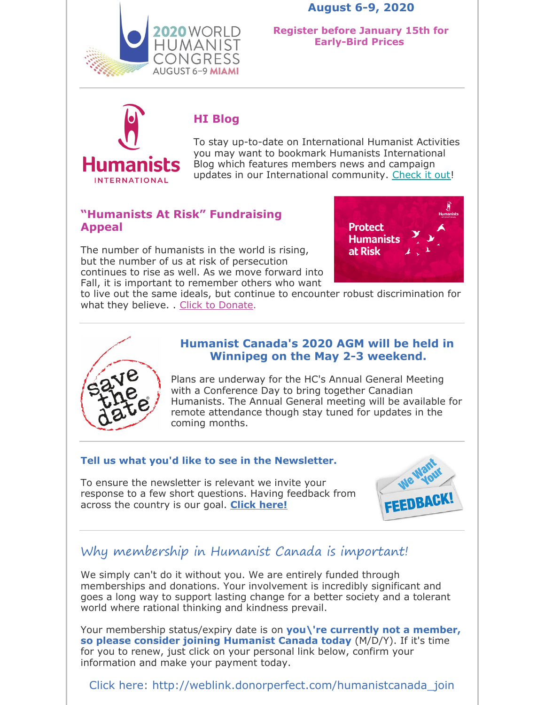**August 6-9, 2020**



**Register before January 15th for Early-Bird Prices**



## **HI Blog**

To stay up-to-date on International Humanist Activities you may want to bookmark Humanists International Blog which features members news and campaign updates in our International community. Check it out!

## **"Humanists At Risk" Fundraising Appeal**

The number of humanists in the world is rising, but the number of us at risk of persecution continues to rise as well. As we move forward into Fall, it is important to remember others who want



to live out the same ideals, but continue to encounter robust discrimination for what they believe. . Click to Donate.



### **Humanist Canada's 2020 AGM will be held in Winnipeg on the May 2-3 weekend.**

Plans are underway for the HC's Annual General Meeting with a Conference Day to bring together Canadian Humanists. The Annual General meeting will be available for remote attendance though stay tuned for updates in the coming months.

#### **Tell us what you'd like to see in the Newsletter.**

To ensure the newsletter is relevant we invite your response to a few short questions. Having feedback from across the country is our goal. **Click here!**



## Why membership in Humanist Canada is important!

We simply can't do it without you. We are entirely funded through memberships and donations. Your involvement is incredibly significant and goes a long way to support lasting change for a better society and a tolerant world where rational thinking and kindness prevail.

Your membership status/expiry date is on **you\'re currently not a member, so please consider joining Humanist Canada today** (M/D/Y). If it's time for you to renew, just click on your personal link below, confirm your information and make your payment today.

Click here: http://weblink.donorperfect.com/humanistcanada\_join